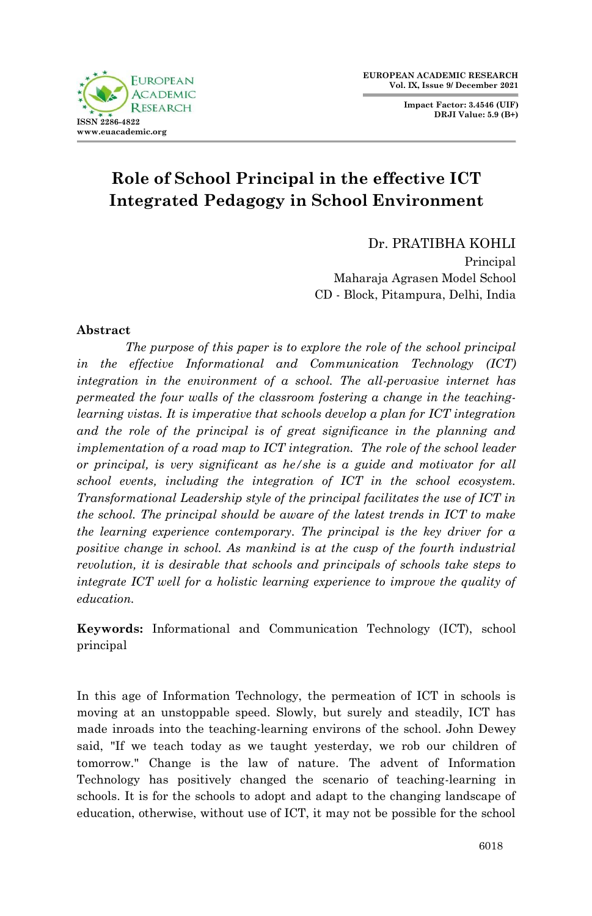**Impact Factor: 3.4546 (UIF) DRJI Value: 5.9 (B+)**



# **Role of School Principal in the effective ICT Integrated Pedagogy in School Environment**

Dr. PRATIBHA KOHLI

Principal Maharaja Agrasen Model School CD - Block, Pitampura, Delhi, India

# **Abstract**

*The purpose of this paper is to explore the role of the school principal in the effective Informational and Communication Technology (ICT) integration in the environment of a school. The all-pervasive internet has permeated the four walls of the classroom fostering a change in the teachinglearning vistas. It is imperative that schools develop a plan for ICT integration and the role of the principal is of great significance in the planning and implementation of a road map to ICT integration. The role of the school leader or principal, is very significant as he/she is a guide and motivator for all school events, including the integration of ICT in the school ecosystem. Transformational Leadership style of the principal facilitates the use of ICT in the school. The principal should be aware of the latest trends in ICT to make the learning experience contemporary. The principal is the key driver for a positive change in school. As mankind is at the cusp of the fourth industrial revolution, it is desirable that schools and principals of schools take steps to integrate ICT well for a holistic learning experience to improve the quality of education.*

**Keywords:** Informational and Communication Technology (ICT), school principal

In this age of Information Technology, the permeation of ICT in schools is moving at an unstoppable speed. Slowly, but surely and steadily, ICT has made inroads into the teaching-learning environs of the school. John Dewey said, "If we teach today as we taught yesterday, we rob our children of tomorrow." Change is the law of nature. The advent of Information Technology has positively changed the scenario of teaching-learning in schools. It is for the schools to adopt and adapt to the changing landscape of education, otherwise, without use of ICT, it may not be possible for the school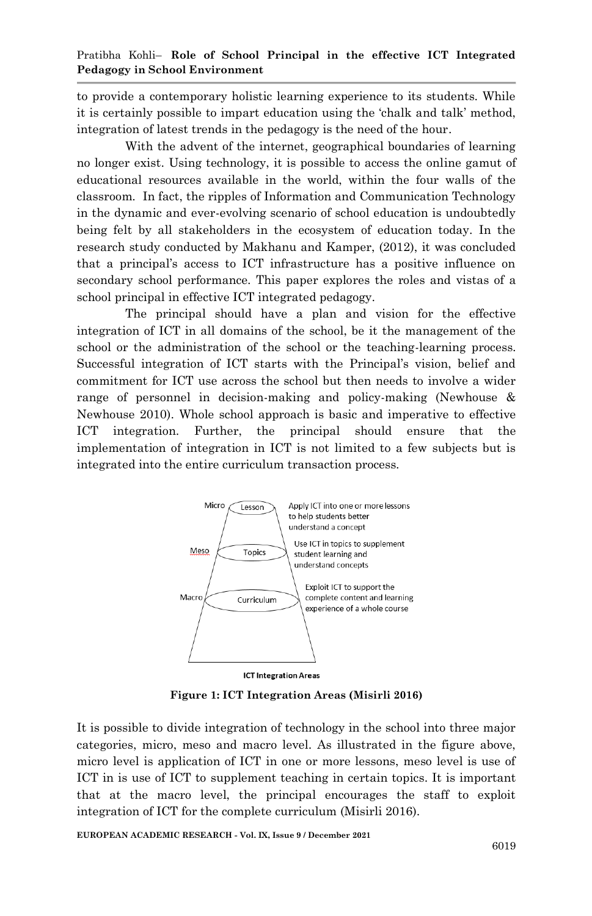to provide a contemporary holistic learning experience to its students. While it is certainly possible to impart education using the "chalk and talk" method, integration of latest trends in the pedagogy is the need of the hour.

With the advent of the internet, geographical boundaries of learning no longer exist. Using technology, it is possible to access the online gamut of educational resources available in the world, within the four walls of the classroom. In fact, the ripples of Information and Communication Technology in the dynamic and ever-evolving scenario of school education is undoubtedly being felt by all stakeholders in the ecosystem of education today. In the research study conducted by Makhanu and Kamper, (2012), it was concluded that a principal"s access to ICT infrastructure has a positive influence on secondary school performance. This paper explores the roles and vistas of a school principal in effective ICT integrated pedagogy.

The principal should have a plan and vision for the effective integration of ICT in all domains of the school, be it the management of the school or the administration of the school or the teaching-learning process. Successful integration of ICT starts with the Principal"s vision, belief and commitment for ICT use across the school but then needs to involve a wider range of personnel in decision-making and policy-making (Newhouse & Newhouse 2010). Whole school approach is basic and imperative to effective ICT integration. Further, the principal should ensure that the implementation of integration in ICT is not limited to a few subjects but is integrated into the entire curriculum transaction process.



**Figure 1: ICT Integration Areas (Misirli 2016)**

It is possible to divide integration of technology in the school into three major categories, micro, meso and macro level. As illustrated in the figure above, micro level is application of ICT in one or more lessons, meso level is use of ICT in is use of ICT to supplement teaching in certain topics. It is important that at the macro level, the principal encourages the staff to exploit integration of ICT for the complete curriculum (Misirli 2016).

**EUROPEAN ACADEMIC RESEARCH - Vol. IX, Issue 9 / December 2021**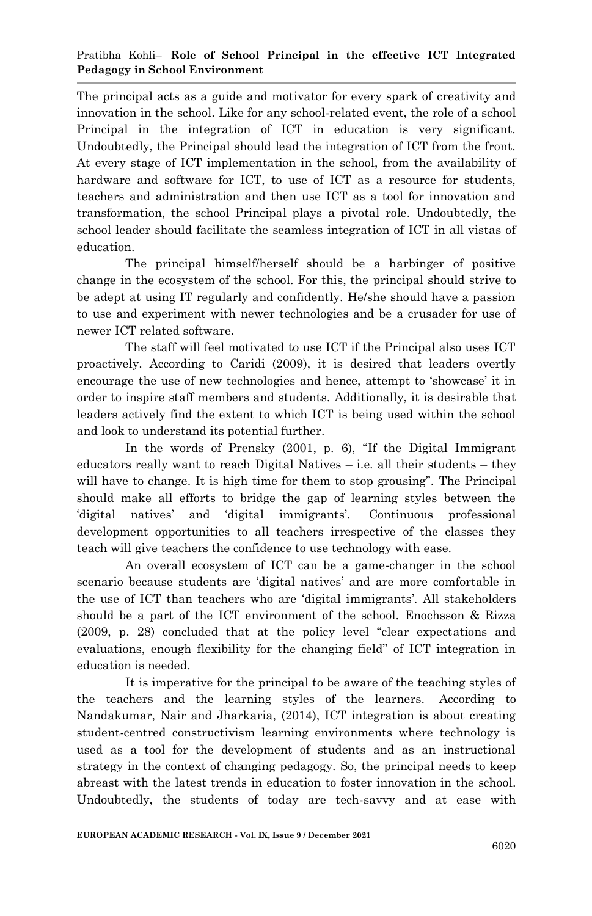### Pratibha Kohli– **Role of School Principal in the effective ICT Integrated Pedagogy in School Environment**

The principal acts as a guide and motivator for every spark of creativity and innovation in the school. Like for any school-related event, the role of a school Principal in the integration of ICT in education is very significant. Undoubtedly, the Principal should lead the integration of ICT from the front. At every stage of ICT implementation in the school, from the availability of hardware and software for ICT, to use of ICT as a resource for students, teachers and administration and then use ICT as a tool for innovation and transformation, the school Principal plays a pivotal role. Undoubtedly, the school leader should facilitate the seamless integration of ICT in all vistas of education.

The principal himself/herself should be a harbinger of positive change in the ecosystem of the school. For this, the principal should strive to be adept at using IT regularly and confidently. He/she should have a passion to use and experiment with newer technologies and be a crusader for use of newer ICT related software.

The staff will feel motivated to use ICT if the Principal also uses ICT proactively. According to Caridi (2009), it is desired that leaders overtly encourage the use of new technologies and hence, attempt to "showcase" it in order to inspire staff members and students. Additionally, it is desirable that leaders actively find the extent to which ICT is being used within the school and look to understand its potential further.

In the words of Prensky (2001, p. 6), "If the Digital Immigrant educators really want to reach Digital Natives – i.e. all their students – they will have to change. It is high time for them to stop grousing". The Principal should make all efforts to bridge the gap of learning styles between the "digital natives" and "digital immigrants". Continuous professional development opportunities to all teachers irrespective of the classes they teach will give teachers the confidence to use technology with ease.

An overall ecosystem of ICT can be a game-changer in the school scenario because students are "digital natives" and are more comfortable in the use of ICT than teachers who are "digital immigrants". All stakeholders should be a part of the ICT environment of the school. Enochsson & Rizza (2009, p. 28) concluded that at the policy level "clear expectations and evaluations, enough flexibility for the changing field" of ICT integration in education is needed.

It is imperative for the principal to be aware of the teaching styles of the teachers and the learning styles of the learners. According to Nandakumar, Nair and Jharkaria, (2014), ICT integration is about creating student-centred constructivism learning environments where technology is used as a tool for the development of students and as an instructional strategy in the context of changing pedagogy. So, the principal needs to keep abreast with the latest trends in education to foster innovation in the school. Undoubtedly, the students of today are tech-savvy and at ease with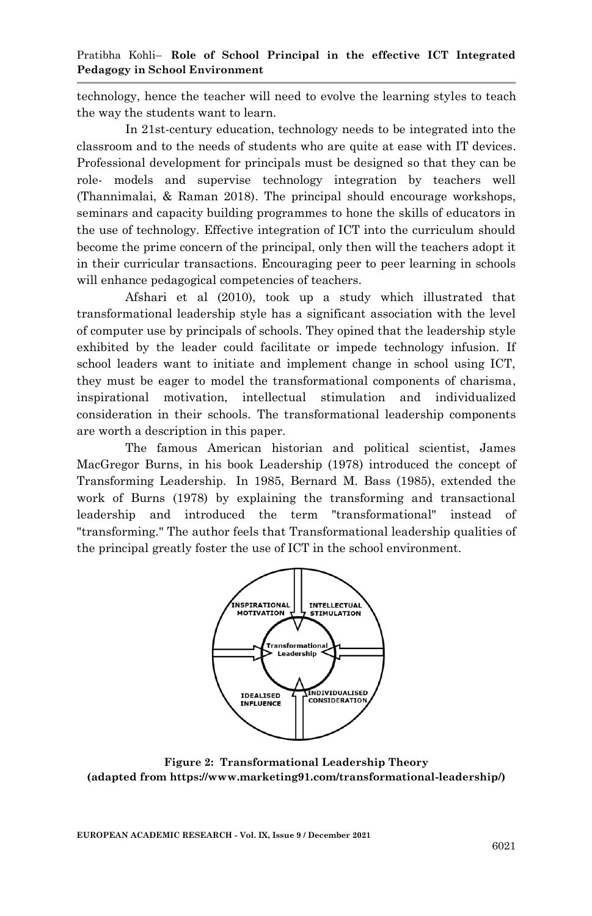technology, hence the teacher will need to evolve the learning styles to teach the way the students want to learn.

In 21st-century education, technology needs to be integrated into the classroom and to the needs of students who are quite at ease with IT devices. Professional development for principals must be designed so that they can be role- models and supervise technology integration by teachers well (Thannimalai, & Raman 2018). The principal should encourage workshops, seminars and capacity building programmes to hone the skills of educators in the use of technology. Effective integration of ICT into the curriculum should become the prime concern of the principal, only then will the teachers adopt it in their curricular transactions. Encouraging peer to peer learning in schools will enhance pedagogical competencies of teachers.

Afshari et al (2010), took up a study which illustrated that transformational leadership style has a significant association with the level of computer use by principals of schools. They opined that the leadership style exhibited by the leader could facilitate or impede technology infusion. If school leaders want to initiate and implement change in school using ICT, they must be eager to model the transformational components of charisma, inspirational motivation, intellectual stimulation and individualized consideration in their schools*.* The transformational leadership components are worth a description in this paper.

The famous American historian and political scientist, James MacGregor Burns, in his book Leadership (1978) introduced the concept of Transforming Leadership. In 1985, Bernard M. Bass (1985), extended the work of Burns (1978) by explaining the transforming and transactional leadership and introduced the term "transformational" instead of "transforming." The author feels that Transformational leadership qualities of the principal greatly foster the use of ICT in the school environment.



**Figure 2: Transformational Leadership Theory (adapted from https://www.marketing91.com/transformational-leadership/)**

**EUROPEAN ACADEMIC RESEARCH - Vol. IX, Issue 9 / December 2021**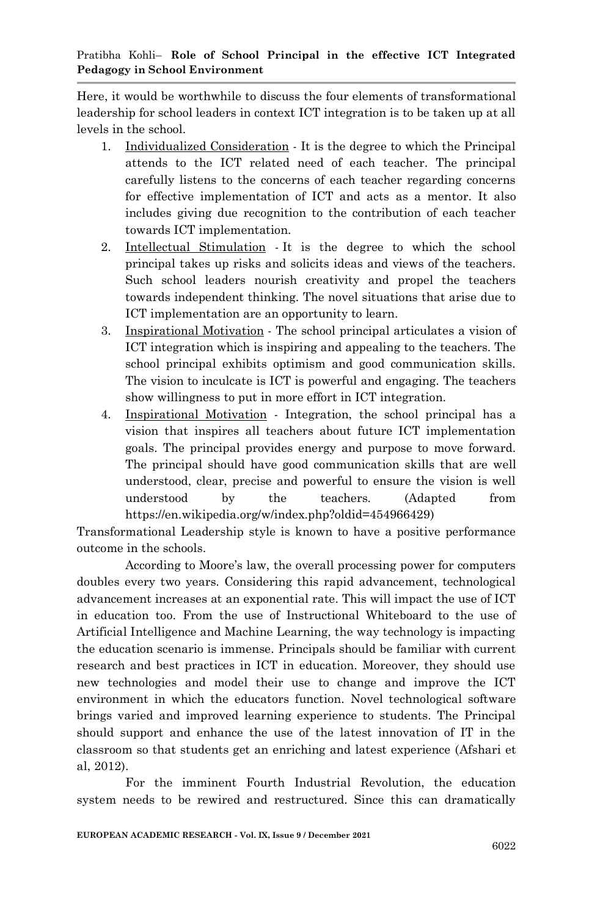Here, it would be worthwhile to discuss the four elements of transformational leadership for school leaders in context ICT integration is to be taken up at all levels in the school.

- 1. Individualized Consideration It is the degree to which the Principal attends to the ICT related need of each teacher. The principal carefully listens to the concerns of each teacher regarding concerns for effective implementation of ICT and acts as a mentor. It also includes giving due recognition to the contribution of each teacher towards ICT implementation.
- 2. Intellectual Stimulation It is the degree to which the school principal takes up risks and solicits ideas and views of the teachers. Such school leaders nourish creativity and propel the teachers towards independent thinking. The novel situations that arise due to ICT implementation are an opportunity to learn.
- 3. Inspirational Motivation The school principal articulates a vision of ICT integration which is inspiring and appealing to the teachers. The school principal exhibits optimism and good communication skills. The vision to inculcate is ICT is powerful and engaging. The teachers show willingness to put in more effort in ICT integration.
- 4. Inspirational Motivation Integration, the school principal has a vision that inspires all teachers about future ICT implementation goals. The principal provides energy and purpose to move forward. The principal should have good communication skills that are well understood, clear, precise and powerful to ensure the vision is well understood by the teachers. (Adapted from https://en.wikipedia.org/w/index.php?oldid=454966429)

Transformational Leadership style is known to have a positive performance outcome in the schools.

According to Moore's law, the overall processing power for computers doubles every two years. Considering this rapid advancement, technological advancement increases at an exponential rate. This will impact the use of ICT in education too. From the use of Instructional Whiteboard to the use of Artificial Intelligence and Machine Learning, the way technology is impacting the education scenario is immense. Principals should be familiar with current research and best practices in ICT in education. Moreover, they should use new technologies and model their use to change and improve the ICT environment in which the educators function. Novel technological software brings varied and improved learning experience to students. The Principal should support and enhance the use of the latest innovation of IT in the classroom so that students get an enriching and latest experience (Afshari et al, 2012).

For the imminent Fourth Industrial Revolution, the education system needs to be rewired and restructured. Since this can dramatically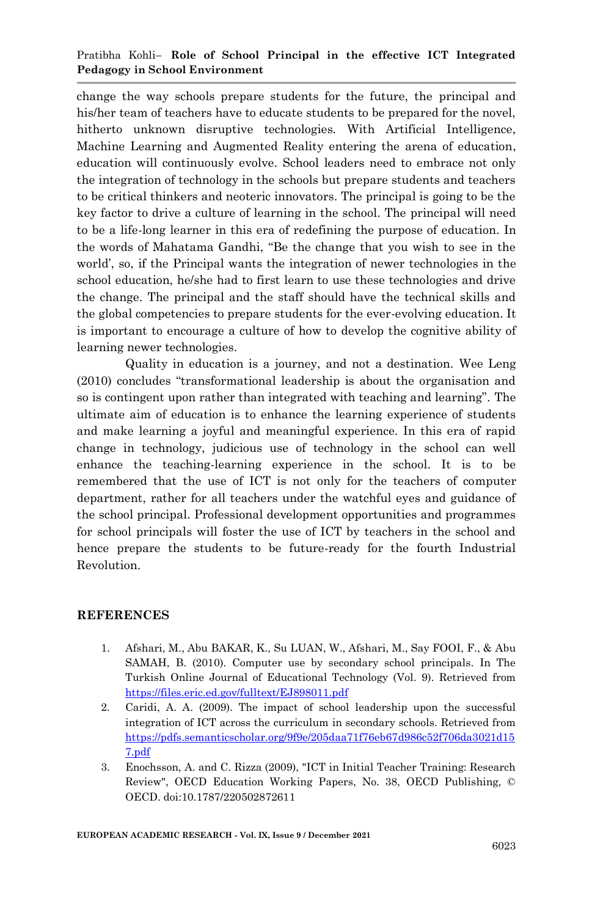## Pratibha Kohli– **Role of School Principal in the effective ICT Integrated Pedagogy in School Environment**

change the way schools prepare students for the future, the principal and his/her team of teachers have to educate students to be prepared for the novel, hitherto unknown disruptive technologies. With Artificial Intelligence, Machine Learning and Augmented Reality entering the arena of education, education will continuously evolve. School leaders need to embrace not only the integration of technology in the schools but prepare students and teachers to be critical thinkers and neoteric innovators. The principal is going to be the key factor to drive a culture of learning in the school. The principal will need to be a life-long learner in this era of redefining the purpose of education. In the words of Mahatama Gandhi, "Be the change that you wish to see in the world", so, if the Principal wants the integration of newer technologies in the school education, he/she had to first learn to use these technologies and drive the change. The principal and the staff should have the technical skills and the global competencies to prepare students for the ever-evolving education. It is important to encourage a culture of how to develop the cognitive ability of learning newer technologies.

Quality in education is a journey, and not a destination. Wee Leng (2010) concludes "transformational leadership is about the organisation and so is contingent upon rather than integrated with teaching and learning". The ultimate aim of education is to enhance the learning experience of students and make learning a joyful and meaningful experience. In this era of rapid change in technology, judicious use of technology in the school can well enhance the teaching-learning experience in the school. It is to be remembered that the use of ICT is not only for the teachers of computer department, rather for all teachers under the watchful eyes and guidance of the school principal. Professional development opportunities and programmes for school principals will foster the use of ICT by teachers in the school and hence prepare the students to be future-ready for the fourth Industrial Revolution.

#### **REFERENCES**

- 1. Afshari, M., Abu BAKAR, K., Su LUAN, W., Afshari, M., Say FOOI, F., & Abu SAMAH, B. (2010). Computer use by secondary school principals. In The Turkish Online Journal of Educational Technology (Vol. 9). Retrieved from <https://files.eric.ed.gov/fulltext/EJ898011.pdf>
- 2. Caridi, A. A. (2009). The impact of school leadership upon the successful integration of ICT across the curriculum in secondary schools. Retrieved from [https://pdfs.semanticscholar.org/9f9e/205daa71f76eb67d986c52f706da3021d15](https://pdfs.semanticscholar.org/9f9e/205daa71f76eb67d986c52f706da3021d157.pdf) [7.pdf](https://pdfs.semanticscholar.org/9f9e/205daa71f76eb67d986c52f706da3021d157.pdf)
- 3. Enochsson, A. and C. Rizza (2009), "ICT in Initial Teacher Training: Research Review", OECD Education Working Papers, No. 38, OECD Publishing, © OECD. doi:10.1787/220502872611